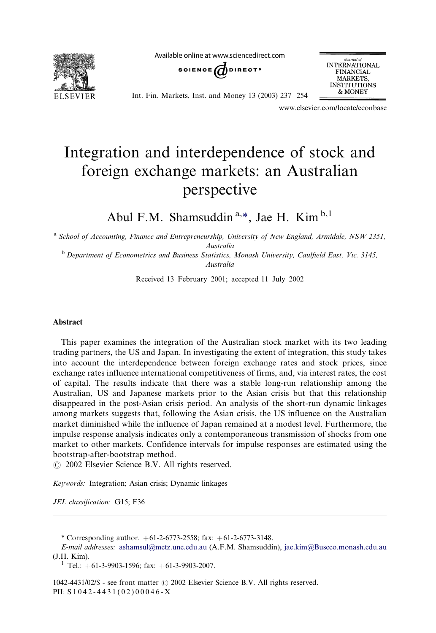

Available online at www.sciencedirect.com





Int. Fin. Markets, Inst. and Money 13 (2003) 237-/254

www.elsevier.com/locate/econbase

## Integration and interdependence of stock and foreign exchange markets: an Australian perspective

Abul F.M. Shamsuddin  $a_{\alpha *}$ , Jae H. Kim  $b_{\alpha}$ , I

<sup>a</sup> School of Accounting, Finance and Entrepreneurship, University of New England, Armidale, NSW 2351, Australia

<sup>b</sup> Department of Econometrics and Business Statistics, Monash University, Caulfield East, Vic. 3145, Australia

Received 13 February 2001; accepted 11 July 2002

## Abstract

This paper examines the integration of the Australian stock market with its two leading trading partners, the US and Japan. In investigating the extent of integration, this study takes into account the interdependence between foreign exchange rates and stock prices, since exchange rates influence international competitiveness of firms, and, via interest rates, the cost of capital. The results indicate that there was a stable long-run relationship among the Australian, US and Japanese markets prior to the Asian crisis but that this relationship disappeared in the post-Asian crisis period. An analysis of the short-run dynamic linkages among markets suggests that, following the Asian crisis, the US influence on the Australian market diminished while the influence of Japan remained at a modest level. Furthermore, the impulse response analysis indicates only a contemporaneous transmission of shocks from one market to other markets. Confidence intervals for impulse responses are estimated using the bootstrap-after-bootstrap method.

 $\odot$  2002 Elsevier Science B.V. All rights reserved.

Keywords: Integration; Asian crisis; Dynamic linkages

JEL classification: G15; F36

E-mail addresses: [ashamsul@metz.une.edu.au](mailto:ashamsul@metz.une.edu.au) (A.F.M. Shamsuddin), [jae.kim@Buseco.monash.edu.au](mailto:jae.kim@Buseco.monash.edu.au)  $(L,H.$  Kim).<br><sup>1</sup> Tel.: +61-3-9903-1596; fax: +61-3-9903-2007.

 $1042-4431/02/\$$  - see front matter  $\odot$  2002 Elsevier Science B.V. All rights reserved. PII: S 1 0 4 2 - 4 4 3 1 ( 0 2 ) 0 0 0 4 6 - X

<sup>\*</sup> Corresponding author.  $+61-2-6773-2558$ ; fax:  $+61-2-6773-3148$ .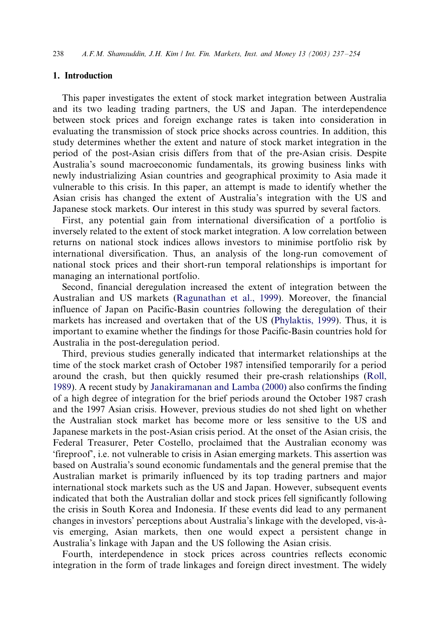## 1. Introduction

This paper investigates the extent of stock market integration between Australia and its two leading trading partners, the US and Japan. The interdependence between stock prices and foreign exchange rates is taken into consideration in evaluating the transmission of stock price shocks across countries. In addition, this study determines whether the extent and nature of stock market integration in the period of the post-Asian crisis differs from that of the pre-Asian crisis. Despite Australia's sound macroeconomic fundamentals, its growing business links with newly industrializing Asian countries and geographical proximity to Asia made it vulnerable to this crisis. In this paper, an attempt is made to identify whether the Asian crisis has changed the extent of Australia's integration with the US and Japanese stock markets. Our interest in this study was spurred by several factors.

First, any potential gain from international diversification of a portfolio is inversely related to the extent of stock market integration. A low correlation between returns on national stock indices allows investors to minimise portfolio risk by international diversification. Thus, an analysis of the long-run comovement of national stock prices and their short-run temporal relationships is important for managing an international portfolio.

Second, financial deregulation increased the extent of integration between the Australian and US markets ([Ragunathan et al., 1999\)](#page--1-0). Moreover, the financial influence of Japan on Pacific-Basin countries following the deregulation of their markets has increased and overtaken that of the US ([Phylaktis, 1999\)](#page--1-0). Thus, it is important to examine whether the findings for those Pacific-Basin countries hold for Australia in the post-deregulation period.

Third, previous studies generally indicated that intermarket relationships at the time of the stock market crash of October 1987 intensified temporarily for a period around the crash, but then quickly resumed their pre-crash relationships ([Roll,](#page--1-0) [1989\)](#page--1-0). A recent study by [Janakiramanan and Lamba \(2000\)](#page--1-0) also confirms the finding of a high degree of integration for the brief periods around the October 1987 crash and the 1997 Asian crisis. However, previous studies do not shed light on whether the Australian stock market has become more or less sensitive to the US and Japanese markets in the post-Asian crisis period. At the onset of the Asian crisis, the Federal Treasurer, Peter Costello, proclaimed that the Australian economy was 'fireproof', i.e. not vulnerable to crisis in Asian emerging markets. This assertion was based on Australia's sound economic fundamentals and the general premise that the Australian market is primarily influenced by its top trading partners and major international stock markets such as the US and Japan. However, subsequent events indicated that both the Australian dollar and stock prices fell significantly following the crisis in South Korea and Indonesia. If these events did lead to any permanent changes in investors' perceptions about Australia's linkage with the developed, vis-a` vis emerging, Asian markets, then one would expect a persistent change in Australia's linkage with Japan and the US following the Asian crisis.

Fourth, interdependence in stock prices across countries reflects economic integration in the form of trade linkages and foreign direct investment. The widely